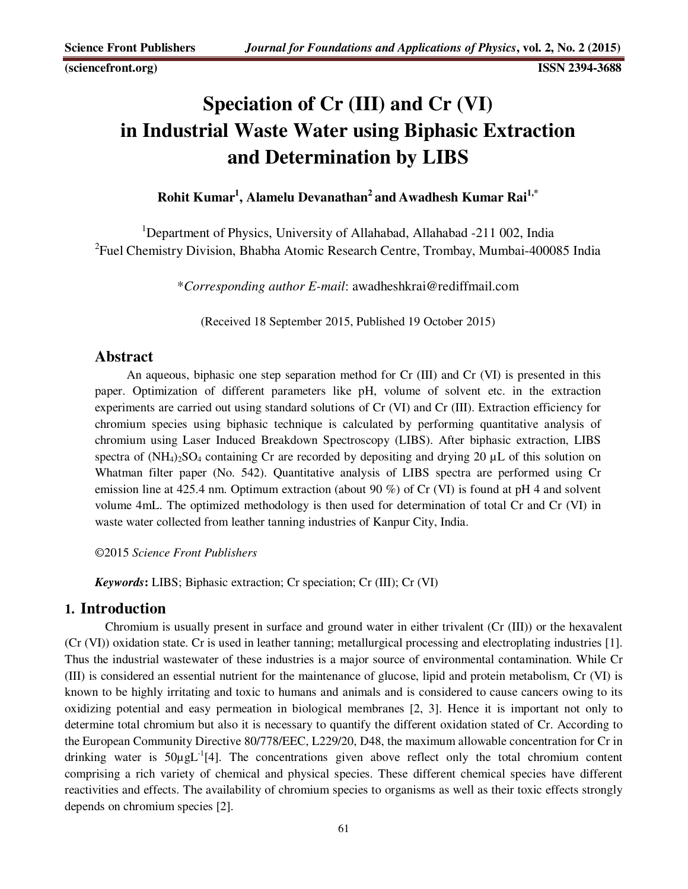**(sciencefront.org) ISSN 2394-3688** 

# **Speciation of Cr (III) and Cr (VI) in Industrial Waste Water using Biphasic Extraction and Determination by LIBS**

**Rohit Kumar<sup>1</sup> , Alamelu Devanathan<sup>2</sup>and Awadhesh Kumar Rai1,\***

<sup>1</sup>Department of Physics, University of Allahabad, Allahabad -211 002, India <sup>2</sup>Fuel Chemistry Division, Bhabha Atomic Research Centre, Trombay, Mumbai-400085 India

\**Corresponding author E-mail*: awadheshkrai@rediffmail.com

(Received 18 September 2015, Published 19 October 2015)

### **Abstract**

An aqueous, biphasic one step separation method for Cr (III) and Cr (VI) is presented in this paper. Optimization of different parameters like pH, volume of solvent etc. in the extraction experiments are carried out using standard solutions of Cr (VI) and Cr (III). Extraction efficiency for chromium species using biphasic technique is calculated by performing quantitative analysis of chromium using Laser Induced Breakdown Spectroscopy (LIBS). After biphasic extraction, LIBS spectra of  $(NH_4)_2SO_4$  containing Cr are recorded by depositing and drying 20  $\mu$ L of this solution on Whatman filter paper (No. 542). Quantitative analysis of LIBS spectra are performed using Cr emission line at 425.4 nm. Optimum extraction (about 90 %) of Cr (VI) is found at pH 4 and solvent volume 4mL. The optimized methodology is then used for determination of total Cr and Cr (VI) in waste water collected from leather tanning industries of Kanpur City, India.

©2015 *Science Front Publishers* 

*Keywords***:** LIBS; Biphasic extraction; Cr speciation; Cr (III); Cr (VI)

#### **1. Introduction**

Chromium is usually present in surface and ground water in either trivalent (Cr (III)) or the hexavalent (Cr (VI)) oxidation state. Cr is used in leather tanning; metallurgical processing and electroplating industries [1]. Thus the industrial wastewater of these industries is a major source of environmental contamination. While Cr (III) is considered an essential nutrient for the maintenance of glucose, lipid and protein metabolism, Cr (VI) is known to be highly irritating and toxic to humans and animals and is considered to cause cancers owing to its oxidizing potential and easy permeation in biological membranes [2, 3]. Hence it is important not only to determine total chromium but also it is necessary to quantify the different oxidation stated of Cr. According to the European Community Directive 80/778/EEC, L229/20, D48, the maximum allowable concentration for Cr in drinking water is  $50\mu gL^{-1}[4]$ . The concentrations given above reflect only the total chromium content comprising a rich variety of chemical and physical species. These different chemical species have different reactivities and effects. The availability of chromium species to organisms as well as their toxic effects strongly depends on chromium species [2].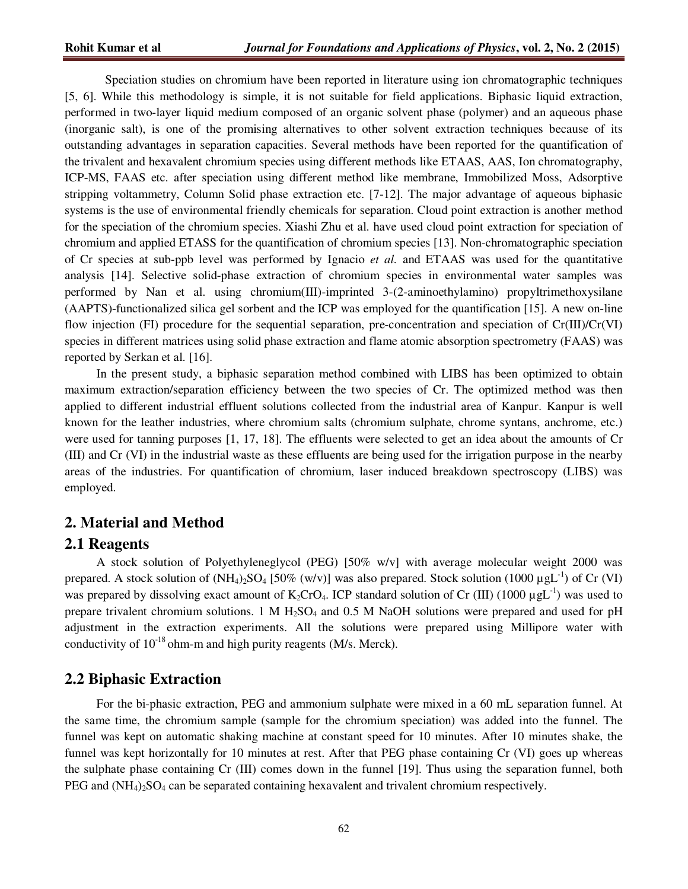Speciation studies on chromium have been reported in literature using ion chromatographic techniques [5, 6]. While this methodology is simple, it is not suitable for field applications. Biphasic liquid extraction, performed in two-layer liquid medium composed of an organic solvent phase (polymer) and an aqueous phase (inorganic salt), is one of the promising alternatives to other solvent extraction techniques because of its outstanding advantages in separation capacities. Several methods have been reported for the quantification of the trivalent and hexavalent chromium species using different methods like ETAAS, AAS, Ion chromatography, ICP-MS, FAAS etc. after speciation using different method like membrane, Immobilized Moss, Adsorptive stripping voltammetry, Column Solid phase extraction etc. [7-12]. The major advantage of aqueous biphasic systems is the use of environmental friendly chemicals for separation. Cloud point extraction is another method for the speciation of the chromium species. Xiashi Zhu et al. have used cloud point extraction for speciation of chromium and applied ETASS for the quantification of chromium species [13]. Non-chromatographic speciation of Cr species at sub-ppb level was performed by Ignacio *et al.* and ETAAS was used for the quantitative analysis [14]. Selective solid-phase extraction of chromium species in environmental water samples was performed by Nan et al. using chromium(III)-imprinted 3-(2-aminoethylamino) propyltrimethoxysilane (AAPTS)-functionalized silica gel sorbent and the ICP was employed for the quantification [15]. A new on-line flow injection (FI) procedure for the sequential separation, pre-concentration and speciation of Cr(III)/Cr(VI) species in different matrices using solid phase extraction and flame atomic absorption spectrometry (FAAS) was reported by Serkan et al. [16].

In the present study, a biphasic separation method combined with LIBS has been optimized to obtain maximum extraction/separation efficiency between the two species of Cr. The optimized method was then applied to different industrial effluent solutions collected from the industrial area of Kanpur. Kanpur is well known for the leather industries, where chromium salts (chromium sulphate, chrome syntans, anchrome, etc.) were used for tanning purposes [1, 17, 18]. The effluents were selected to get an idea about the amounts of Cr (III) and Cr (VI) in the industrial waste as these effluents are being used for the irrigation purpose in the nearby areas of the industries. For quantification of chromium, laser induced breakdown spectroscopy (LIBS) was employed.

#### **2. Material and Method**

### **2.1 Reagents**

A stock solution of Polyethyleneglycol (PEG) [50% w/v] with average molecular weight 2000 was prepared. A stock solution of  $(NH_4)_2SO_4$  [50% (w/v)] was also prepared. Stock solution (1000  $\mu gL^{-1}$ ) of Cr (VI) was prepared by dissolving exact amount of K<sub>2</sub>CrO<sub>4</sub>. ICP standard solution of Cr (III) (1000  $\mu$ gL<sup>-1</sup>) was used to prepare trivalent chromium solutions. 1 M  $H<sub>2</sub>SO<sub>4</sub>$  and 0.5 M NaOH solutions were prepared and used for pH adjustment in the extraction experiments. All the solutions were prepared using Millipore water with conductivity of  $10^{-18}$  ohm-m and high purity reagents (M/s. Merck).

## **2.2 Biphasic Extraction**

For the bi-phasic extraction, PEG and ammonium sulphate were mixed in a 60 mL separation funnel. At the same time, the chromium sample (sample for the chromium speciation) was added into the funnel. The funnel was kept on automatic shaking machine at constant speed for 10 minutes. After 10 minutes shake, the funnel was kept horizontally for 10 minutes at rest. After that PEG phase containing Cr (VI) goes up whereas the sulphate phase containing Cr (III) comes down in the funnel [19]. Thus using the separation funnel, both PEG and  $(NH_4)$ <sub>2</sub>SO<sub>4</sub> can be separated containing hexavalent and trivalent chromium respectively.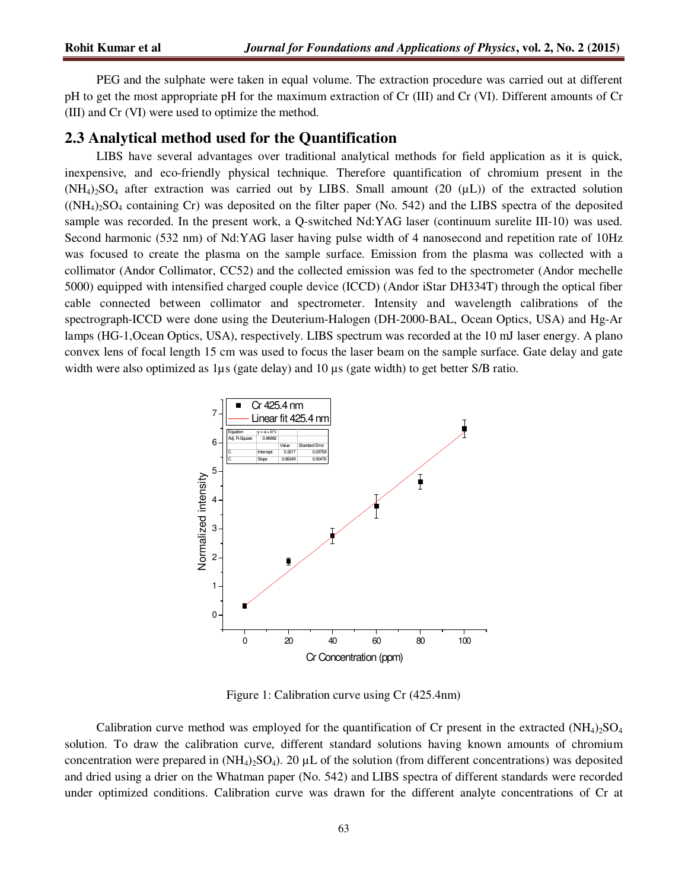PEG and the sulphate were taken in equal volume. The extraction procedure was carried out at different pH to get the most appropriate pH for the maximum extraction of Cr (III) and Cr (VI). Different amounts of Cr (III) and Cr (VI) were used to optimize the method.

#### **2.3 Analytical method used for the Quantification**

LIBS have several advantages over traditional analytical methods for field application as it is quick, inexpensive, and eco-friendly physical technique. Therefore quantification of chromium present in the  $(NH_4)_2SO_4$  after extraction was carried out by LIBS. Small amount (20 ( $\mu$ L)) of the extracted solution  $((NH_4)_2SO_4$  containing Cr) was deposited on the filter paper (No. 542) and the LIBS spectra of the deposited sample was recorded. In the present work, a Q-switched Nd:YAG laser (continuum surelite III-10) was used. Second harmonic (532 nm) of Nd:YAG laser having pulse width of 4 nanosecond and repetition rate of 10Hz was focused to create the plasma on the sample surface. Emission from the plasma was collected with a collimator (Andor Collimator, CC52) and the collected emission was fed to the spectrometer (Andor mechelle 5000) equipped with intensified charged couple device (ICCD) (Andor iStar DH334T) through the optical fiber cable connected between collimator and spectrometer. Intensity and wavelength calibrations of the spectrograph-ICCD were done using the Deuterium-Halogen (DH-2000-BAL, Ocean Optics, USA) and Hg-Ar lamps (HG-1,Ocean Optics, USA), respectively. LIBS spectrum was recorded at the 10 mJ laser energy. A plano convex lens of focal length 15 cm was used to focus the laser beam on the sample surface. Gate delay and gate width were also optimized as 1µs (gate delay) and 10 µs (gate width) to get better S/B ratio.



Figure 1: Calibration curve using Cr (425.4nm)

Calibration curve method was employed for the quantification of Cr present in the extracted  $(NH_4)_2SO_4$ solution. To draw the calibration curve, different standard solutions having known amounts of chromium concentration were prepared in  $(NH_4)_2SO_4$ ). 20 µL of the solution (from different concentrations) was deposited and dried using a drier on the Whatman paper (No. 542) and LIBS spectra of different standards were recorded under optimized conditions. Calibration curve was drawn for the different analyte concentrations of Cr at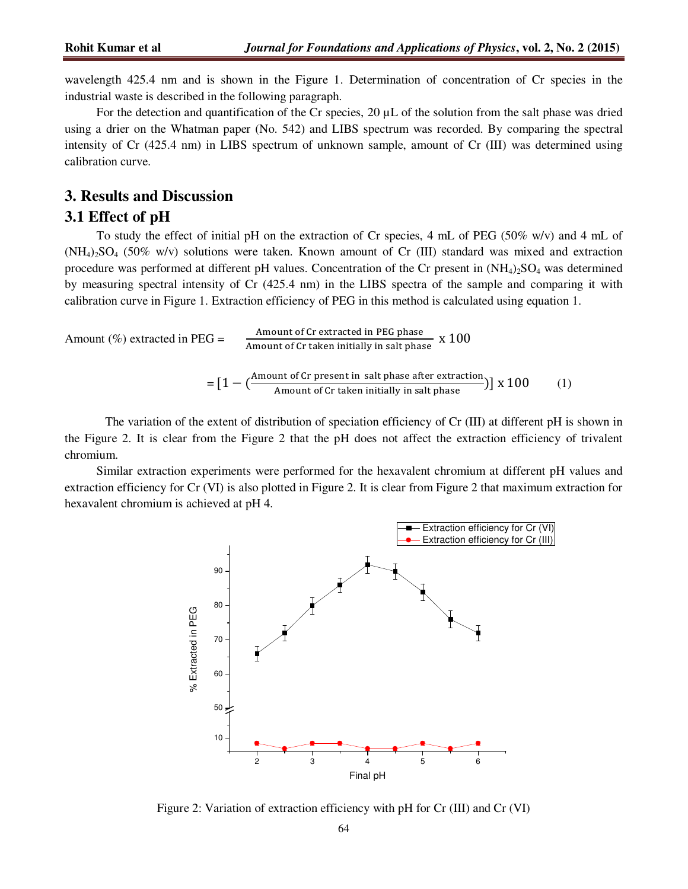wavelength 425.4 nm and is shown in the Figure 1. Determination of concentration of Cr species in the industrial waste is described in the following paragraph.

For the detection and quantification of the Cr species,  $20 \mu L$  of the solution from the salt phase was dried using a drier on the Whatman paper (No. 542) and LIBS spectrum was recorded. By comparing the spectral intensity of Cr (425.4 nm) in LIBS spectrum of unknown sample, amount of Cr (III) was determined using calibration curve.

# **3. Results and Discussion**

#### **3.1 Effect of pH**

To study the effect of initial pH on the extraction of Cr species, 4 mL of PEG (50% w/v) and 4 mL of  $(NH<sub>4</sub>)<sub>2</sub>SO<sub>4</sub>$  (50% w/v) solutions were taken. Known amount of Cr (III) standard was mixed and extraction procedure was performed at different pH values. Concentration of the Cr present in  $(NH_4)_2SO_4$  was determined by measuring spectral intensity of Cr (425.4 nm) in the LIBS spectra of the sample and comparing it with calibration curve in Figure 1. Extraction efficiency of PEG in this method is calculated using equation 1.

Amount (
$$
\%
$$
) extracted in PEG =  $\frac{\text{Amount of Cr extracted in PEG phase}}{\text{Amount of Cr taken initially in salt phase}} \times 100$ 

$$
= [1 - (\frac{\text{Amount of Cr present in salt phase after extraction}}{\text{Amount of Cr taken initially in salt phase}})] \times 100 \tag{1}
$$

The variation of the extent of distribution of speciation efficiency of Cr (III) at different pH is shown in the Figure 2. It is clear from the Figure 2 that the pH does not affect the extraction efficiency of trivalent chromium.

Similar extraction experiments were performed for the hexavalent chromium at different pH values and extraction efficiency for Cr (VI) is also plotted in Figure 2. It is clear from Figure 2 that maximum extraction for hexavalent chromium is achieved at pH 4.



Figure 2: Variation of extraction efficiency with pH for Cr (III) and Cr (VI)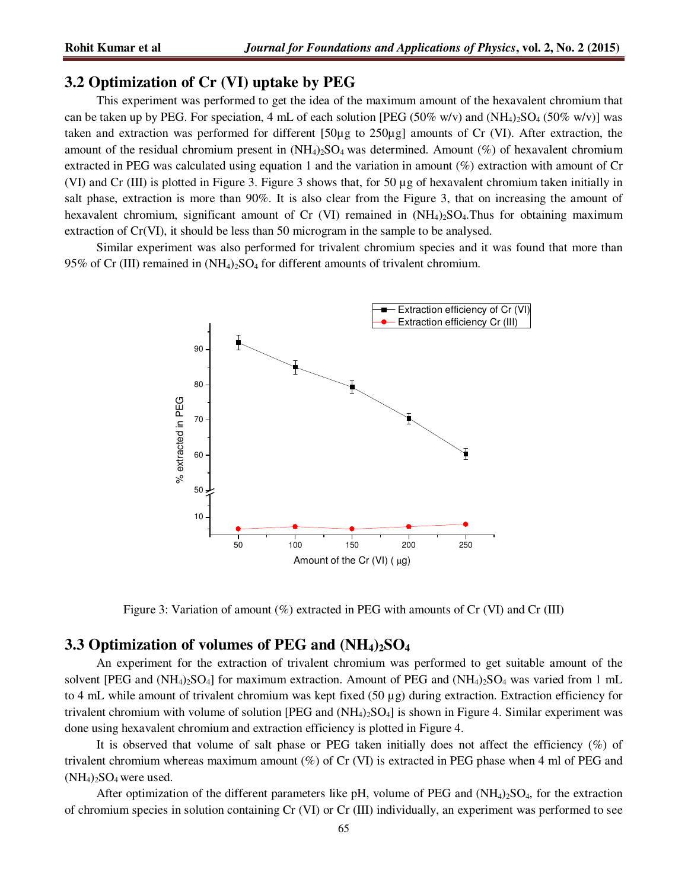# **3.2 Optimization of Cr (VI) uptake by PEG**

This experiment was performed to get the idea of the maximum amount of the hexavalent chromium that can be taken up by PEG. For speciation, 4 mL of each solution [PEG (50% w/v) and  $(NH<sub>4</sub>)<sub>2</sub>SO<sub>4</sub>$  (50% w/v)] was taken and extraction was performed for different [50µg to 250µg] amounts of Cr (VI). After extraction, the amount of the residual chromium present in  $(NH_4)_2SO_4$  was determined. Amount (%) of hexavalent chromium extracted in PEG was calculated using equation 1 and the variation in amount (%) extraction with amount of Cr (VI) and Cr (III) is plotted in Figure 3. Figure 3 shows that, for 50 µg of hexavalent chromium taken initially in salt phase, extraction is more than 90%. It is also clear from the Figure 3, that on increasing the amount of hexavalent chromium, significant amount of Cr (VI) remained in  $(NH<sub>4</sub>)<sub>2</sub>SO<sub>4</sub>$ . Thus for obtaining maximum extraction of Cr(VI), it should be less than 50 microgram in the sample to be analysed.

Similar experiment was also performed for trivalent chromium species and it was found that more than 95% of Cr (III) remained in  $(NH_4)$ , SO<sub>4</sub> for different amounts of trivalent chromium.



Figure 3: Variation of amount (%) extracted in PEG with amounts of Cr (VI) and Cr (III)

#### **3.3 Optimization of volumes of PEG and (NH4)2SO<sup>4</sup>**

An experiment for the extraction of trivalent chromium was performed to get suitable amount of the solvent [PEG and  $(NH_4)_2SO_4$ ] for maximum extraction. Amount of PEG and  $(NH_4)_2SO_4$  was varied from 1 mL to 4 mL while amount of trivalent chromium was kept fixed (50 µg) during extraction. Extraction efficiency for trivalent chromium with volume of solution [PEG and  $(NH_4)_2SO_4$ ] is shown in Figure 4. Similar experiment was done using hexavalent chromium and extraction efficiency is plotted in Figure 4.

It is observed that volume of salt phase or PEG taken initially does not affect the efficiency (%) of trivalent chromium whereas maximum amount  $(\%)$  of Cr (VI) is extracted in PEG phase when 4 ml of PEG and  $(NH_4)_2SO_4$  were used.

After optimization of the different parameters like pH, volume of PEG and  $(NH_4)_2SO_4$ , for the extraction of chromium species in solution containing Cr (VI) or Cr (III) individually, an experiment was performed to see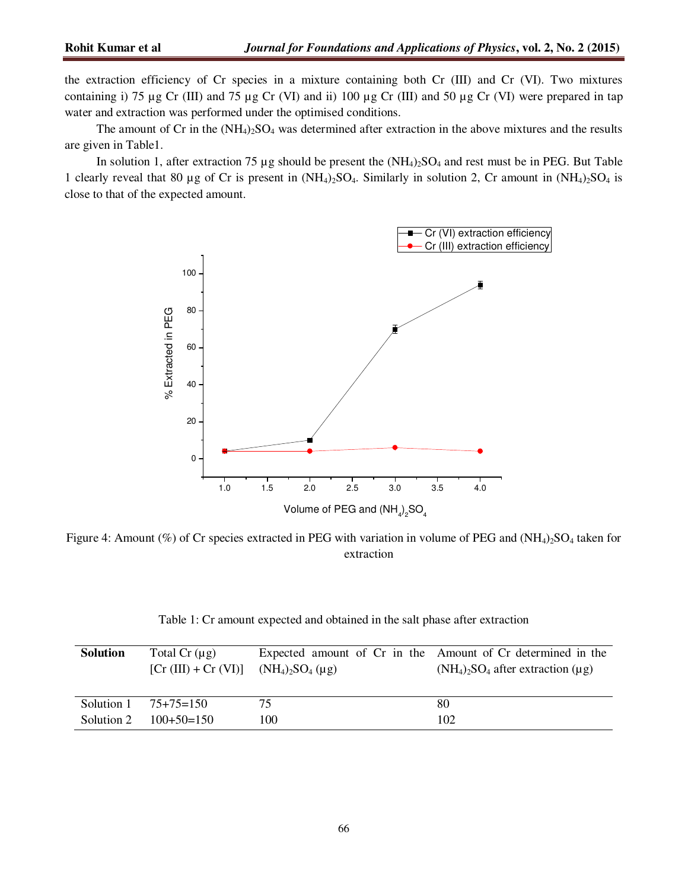the extraction efficiency of Cr species in a mixture containing both Cr (III) and Cr (VI). Two mixtures containing i) 75 µg Cr (III) and 75 µg Cr (VI) and ii) 100 µg Cr (III) and 50 µg Cr (VI) were prepared in tap water and extraction was performed under the optimised conditions.

The amount of Cr in the  $(NH_4)_2SO_4$  was determined after extraction in the above mixtures and the results are given in Table1.

In solution 1, after extraction 75  $\mu$ g should be present the  $(NH_4)_2SO_4$  and rest must be in PEG. But Table 1 clearly reveal that 80 µg of Cr is present in  $(NH_4)_2SO_4$ . Similarly in solution 2, Cr amount in  $(NH_4)_2SO_4$  is close to that of the expected amount.



Figure 4: Amount (%) of Cr species extracted in PEG with variation in volume of PEG and  $(NH_4)_2SO_4$  taken for extraction

Table 1: Cr amount expected and obtained in the salt phase after extraction

| <b>Solution</b> | Total $Cr(\mu g)$<br>$[Cr (III) + Cr (VI)]$ | $(NH_4)_{2}SO_4 (\mu g)$ | Expected amount of Cr in the Amount of Cr determined in the<br>$(NH_4)_2SO_4$ after extraction (µg) |
|-----------------|---------------------------------------------|--------------------------|-----------------------------------------------------------------------------------------------------|
| Solution 1      | $75+75=150$                                 | 75                       | 80                                                                                                  |
| Solution 2      | $100+50=150$                                | 100                      | 102                                                                                                 |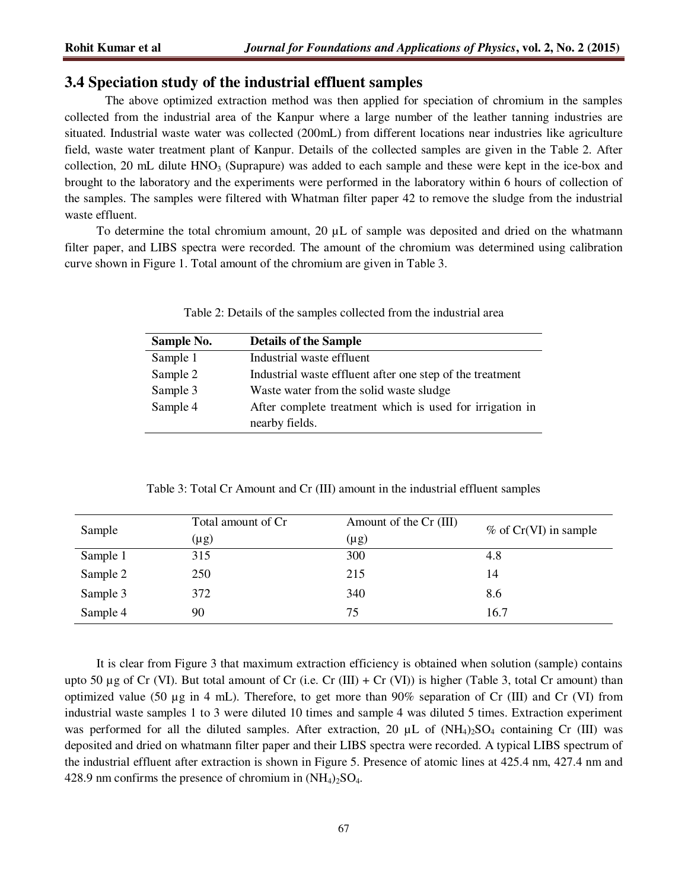## **3.4 Speciation study of the industrial effluent samples**

The above optimized extraction method was then applied for speciation of chromium in the samples collected from the industrial area of the Kanpur where a large number of the leather tanning industries are situated. Industrial waste water was collected (200mL) from different locations near industries like agriculture field, waste water treatment plant of Kanpur. Details of the collected samples are given in the Table 2. After collection, 20 mL dilute  $HNO<sub>3</sub>$  (Suprapure) was added to each sample and these were kept in the ice-box and brought to the laboratory and the experiments were performed in the laboratory within 6 hours of collection of the samples. The samples were filtered with Whatman filter paper 42 to remove the sludge from the industrial waste effluent.

To determine the total chromium amount, 20  $\mu$ L of sample was deposited and dried on the whatmann filter paper, and LIBS spectra were recorded. The amount of the chromium was determined using calibration curve shown in Figure 1. Total amount of the chromium are given in Table 3.

| Sample No. | <b>Details of the Sample</b>                              |
|------------|-----------------------------------------------------------|
| Sample 1   | Industrial waste effluent                                 |
| Sample 2   | Industrial waste effluent after one step of the treatment |
| Sample 3   | Waste water from the solid waste sludge                   |
| Sample 4   | After complete treatment which is used for irrigation in  |
|            | nearby fields.                                            |

Table 2: Details of the samples collected from the industrial area

Table 3: Total Cr Amount and Cr (III) amount in the industrial effluent samples

| Sample   | Total amount of Cr<br>$(\mu g)$ | Amount of the Cr (III)<br>(µg) | $%$ of Cr(VI) in sample |
|----------|---------------------------------|--------------------------------|-------------------------|
|          |                                 |                                |                         |
| Sample 1 | 315                             | 300                            | 4.8                     |
| Sample 2 | 250                             | 215                            | 14                      |
| Sample 3 | 372                             | 340                            | 8.6                     |
| Sample 4 | 90                              | 75                             | 16.7                    |

It is clear from Figure 3 that maximum extraction efficiency is obtained when solution (sample) contains upto 50  $\mu$ g of Cr (VI). But total amount of Cr (i.e. Cr (III) + Cr (VI)) is higher (Table 3, total Cr amount) than optimized value (50  $\mu$ g in 4 mL). Therefore, to get more than 90% separation of Cr (III) and Cr (VI) from industrial waste samples 1 to 3 were diluted 10 times and sample 4 was diluted 5 times. Extraction experiment was performed for all the diluted samples. After extraction, 20  $\mu$ L of (NH<sub>4</sub>)<sub>2</sub>SO<sub>4</sub> containing Cr (III) was deposited and dried on whatmann filter paper and their LIBS spectra were recorded. A typical LIBS spectrum of the industrial effluent after extraction is shown in Figure 5. Presence of atomic lines at 425.4 nm, 427.4 nm and 428.9 nm confirms the presence of chromium in  $(NH_4)_2SO_4$ .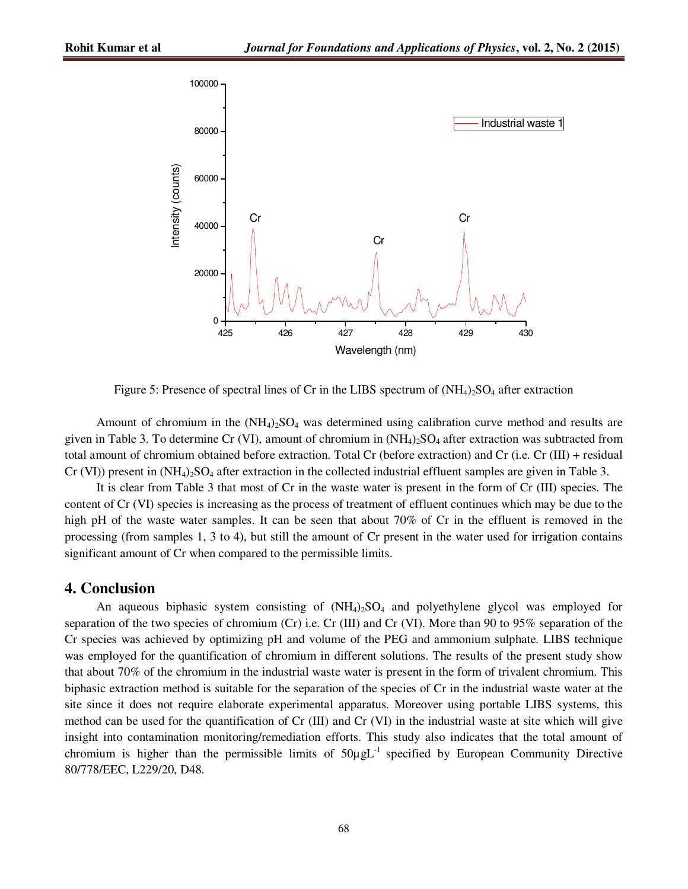

Figure 5: Presence of spectral lines of Cr in the LIBS spectrum of  $(NH_4)_2SO_4$  after extraction

Amount of chromium in the  $(NH_4)$ ,  $SO_4$  was determined using calibration curve method and results are given in Table 3. To determine Cr (VI), amount of chromium in  $(NH_4)_2SO_4$  after extraction was subtracted from total amount of chromium obtained before extraction. Total Cr (before extraction) and Cr (i.e. Cr (III) + residual Cr (VI)) present in  $(NH_4)_2SO_4$  after extraction in the collected industrial effluent samples are given in Table 3.

It is clear from Table 3 that most of Cr in the waste water is present in the form of Cr (III) species. The content of Cr (VI) species is increasing as the process of treatment of effluent continues which may be due to the high pH of the waste water samples. It can be seen that about 70% of Cr in the effluent is removed in the processing (from samples 1, 3 to 4), but still the amount of Cr present in the water used for irrigation contains significant amount of Cr when compared to the permissible limits.

#### **4. Conclusion**

An aqueous biphasic system consisting of  $(NH_4)_{2}SO_4$  and polyethylene glycol was employed for separation of the two species of chromium (Cr) i.e. Cr (III) and Cr (VI). More than 90 to 95% separation of the Cr species was achieved by optimizing pH and volume of the PEG and ammonium sulphate. LIBS technique was employed for the quantification of chromium in different solutions. The results of the present study show that about 70% of the chromium in the industrial waste water is present in the form of trivalent chromium. This biphasic extraction method is suitable for the separation of the species of Cr in the industrial waste water at the site since it does not require elaborate experimental apparatus. Moreover using portable LIBS systems, this method can be used for the quantification of Cr (III) and Cr (VI) in the industrial waste at site which will give insight into contamination monitoring/remediation efforts. This study also indicates that the total amount of chromium is higher than the permissible limits of  $50\mu gL^{-1}$  specified by European Community Directive 80/778/EEC, L229/20, D48.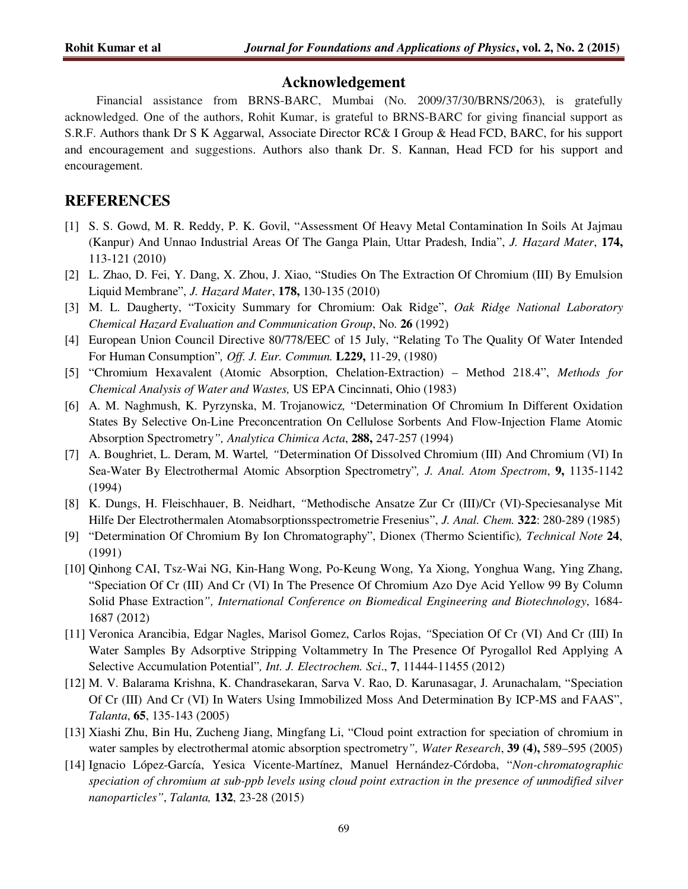## **Acknowledgement**

Financial assistance from BRNS-BARC, Mumbai (No. 2009/37/30/BRNS/2063), is gratefully acknowledged. One of the authors, Rohit Kumar, is grateful to BRNS-BARC for giving financial support as S.R.F. Authors thank Dr S K Aggarwal, Associate Director RC& I Group & Head FCD, BARC, for his support and encouragement and suggestions. Authors also thank Dr. S. Kannan, Head FCD for his support and encouragement.

## **REFERENCES**

- [1] S. S. Gowd, M. R. Reddy, P. K. Govil, "Assessment Of Heavy Metal Contamination In Soils At Jajmau (Kanpur) And Unnao Industrial Areas Of The Ganga Plain, Uttar Pradesh, India", *J. Hazard Mater*, **174,**  113-121 (2010)
- [2] L. Zhao, D. Fei, Y. Dang, X. Zhou, J. Xiao, "Studies On The Extraction Of Chromium (III) By Emulsion Liquid Membrane", *J. Hazard Mater*, **178,** 130-135 (2010)
- [3] M. L. Daugherty, "Toxicity Summary for Chromium: Oak Ridge", *Oak Ridge National Laboratory Chemical Hazard Evaluation and Communication Group*, No. **26** (1992)
- [4] European Union Council Directive 80/778/EEC of 15 July, "Relating To The Quality Of Water Intended For Human Consumption"*, Off. J. Eur. Commun.* **L229,** 11-29, (1980)
- [5] "Chromium Hexavalent (Atomic Absorption, Chelation-Extraction) Method 218.4", *Methods for Chemical Analysis of Water and Wastes,* US EPA Cincinnati, Ohio (1983)
- [6] A. M. Naghmush, K. Pyrzynska, M. Trojanowicz*,* "Determination Of Chromium In Different Oxidation States By Selective On-Line Preconcentration On Cellulose Sorbents And Flow-Injection Flame Atomic Absorption Spectrometry*", Analytica Chimica Acta*, **288,** 247-257 (1994)
- [7] A. Boughriet, L. Deram, M. Wartel*, "*Determination Of Dissolved Chromium (III) And Chromium (VI) In Sea-Water By Electrothermal Atomic Absorption Spectrometry"*, J. Anal. Atom Spectrom*, **9,** 1135-1142 (1994)
- [8] K. Dungs, H. Fleischhauer, B. Neidhart, *"*Methodische Ansatze Zur Cr (III)/Cr (VI)-Speciesanalyse Mit Hilfe Der Electrothermalen Atomabsorptionsspectrometrie Fresenius", *J. Anal. Chem.* **322**: 280-289 (1985)
- [9] "Determination Of Chromium By Ion Chromatography", Dionex (Thermo Scientific)*, Technical Note* **24**, (1991)
- [10] Qinhong CAI, Tsz-Wai NG, Kin-Hang Wong, Po-Keung Wong, Ya Xiong, Yonghua Wang, Ying Zhang, "Speciation Of Cr (III) And Cr (VI) In The Presence Of Chromium Azo Dye Acid Yellow 99 By Column Solid Phase Extraction*", International Conference on Biomedical Engineering and Biotechnology*, 1684- 1687 (2012)
- [11] Veronica Arancibia, Edgar Nagles, Marisol Gomez, Carlos Rojas, *"*Speciation Of Cr (VI) And Cr (III) In Water Samples By Adsorptive Stripping Voltammetry In The Presence Of Pyrogallol Red Applying A Selective Accumulation Potential"*, Int. J. Electrochem. Sci*., **7**, 11444-11455 (2012)
- [12] M. V. Balarama Krishna, K. Chandrasekaran, Sarva V. Rao, D. Karunasagar, J. Arunachalam, "Speciation Of Cr (III) And Cr (VI) In Waters Using Immobilized Moss And Determination By ICP-MS and FAAS", *Talanta*, **65**, 135-143 (2005)
- [13] Xiashi Zhu, Bin Hu, Zucheng Jiang, Mingfang Li, "Cloud point extraction for speciation of chromium in water samples by electrothermal atomic absorption spectrometry*", Water Research*, **39 (4),** 589–595 (2005)
- [14] Ignacio López-García, Yesica Vicente-Martínez, Manuel Hernández-Córdoba, "*Non-chromatographic speciation of chromium at sub-ppb levels using cloud point extraction in the presence of unmodified silver nanoparticles"*, *Talanta,* **132**, 23-28 (2015)